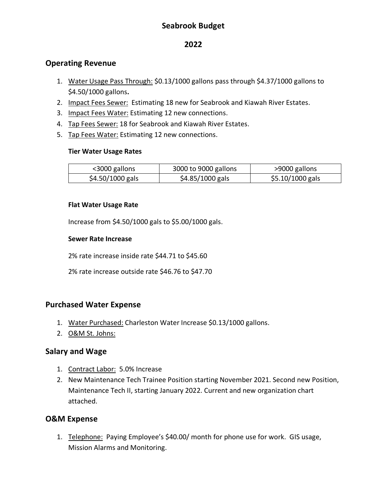# **Seabrook Budget**

### **2022**

### **Operating Revenue**

- 1. Water Usage Pass Through: \$0.13/1000 gallons pass through \$4.37/1000 gallons to \$4.50/1000 gallons**.**
- 2. Impact Fees Sewer: Estimating 18 new for Seabrook and Kiawah River Estates.
- 3. Impact Fees Water: Estimating 12 new connections.
- 4. Tap Fees Sewer: 18 for Seabrook and Kiawah River Estates.
- 5. Tap Fees Water: Estimating 12 new connections.

#### **Tier Water Usage Rates**

| <3000 gallons    | 3000 to 9000 gallons | >9000 gallons    |
|------------------|----------------------|------------------|
| \$4.50/1000 gals | $$4.85/1000$ gals    | \$5.10/1000 gals |

### **Flat Water Usage Rate**

Increase from \$4.50/1000 gals to \$5.00/1000 gals.

#### **Sewer Rate Increase**

2% rate increase inside rate \$44.71 to \$45.60

2% rate increase outside rate \$46.76 to \$47.70

# **Purchased Water Expense**

- 1. Water Purchased: Charleston Water Increase \$0.13/1000 gallons.
- 2. O&M St. Johns:

### **Salary and Wage**

- 1. Contract Labor: 5.0% Increase
- 2. New Maintenance Tech Trainee Position starting November 2021. Second new Position, Maintenance Tech II, starting January 2022. Current and new organization chart attached.

# **O&M Expense**

1. Telephone: Paying Employee's \$40.00/ month for phone use for work. GIS usage, Mission Alarms and Monitoring.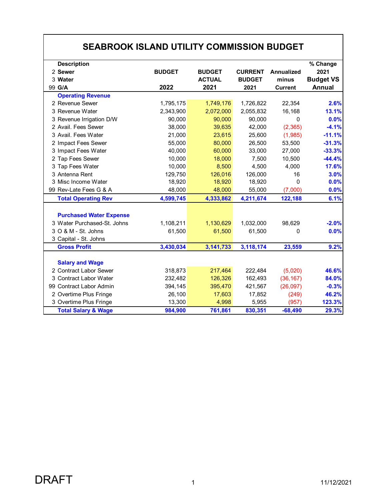| <b>SEABROOK ISLAND UTILITY COMMISSION BUDGET</b>                                     |                       |                                        |                                         |                                              |                                                       |  |  |
|--------------------------------------------------------------------------------------|-----------------------|----------------------------------------|-----------------------------------------|----------------------------------------------|-------------------------------------------------------|--|--|
| <b>Description</b><br>2 Sewer<br>3 Water<br>99 G/A                                   | <b>BUDGET</b><br>2022 | <b>BUDGET</b><br><b>ACTUAL</b><br>2021 | <b>CURRENT</b><br><b>BUDGET</b><br>2021 | <b>Annualized</b><br>minus<br><b>Current</b> | % Change<br>2021<br><b>Budget VS</b><br><b>Annual</b> |  |  |
| <b>Operating Revenue</b>                                                             |                       |                                        |                                         |                                              |                                                       |  |  |
| 2 Revenue Sewer                                                                      | 1,795,175             | 1,749,176                              | 1,726,822                               | 22,354                                       | 2.6%                                                  |  |  |
| 3 Revenue Water                                                                      | 2,343,900             | 2,072,000                              | 2,055,832                               | 16,168                                       | 13.1%                                                 |  |  |
| 3 Revenue Irrigation D/W                                                             | 90,000                | 90,000                                 | 90,000                                  | 0                                            | 0.0%                                                  |  |  |
| 2 Avail. Fees Sewer                                                                  | 38,000                | 39,635                                 | 42,000                                  | (2, 365)                                     | $-4.1%$                                               |  |  |
| 3 Avail. Fees Water                                                                  | 21,000                | 23,615                                 | 25,600                                  | (1,985)                                      | $-11.1%$                                              |  |  |
| 2 Impact Fees Sewer                                                                  | 55,000                | 80,000                                 | 26,500                                  | 53,500                                       | $-31.3%$                                              |  |  |
| 3 Impact Fees Water                                                                  | 40,000                | 60,000                                 | 33,000                                  | 27,000                                       | $-33.3%$                                              |  |  |
| 2 Tap Fees Sewer                                                                     | 10,000                | 18,000                                 | 7,500                                   | 10,500                                       | $-44.4%$                                              |  |  |
| 3 Tap Fees Water                                                                     | 10,000                | 8,500                                  | 4,500                                   | 4,000                                        | 17.6%                                                 |  |  |
| 3 Antenna Rent                                                                       | 129,750               | 126,016                                | 126,000                                 | 16                                           | 3.0%                                                  |  |  |
| 3 Misc Income Water                                                                  | 18,920                | 18,920                                 | 18,920                                  | $\Omega$                                     | 0.0%                                                  |  |  |
| 99 Rev-Late Fees G & A                                                               | 48,000                | 48,000                                 | 55,000                                  | (7,000)                                      | 0.0%                                                  |  |  |
| <b>Total Operating Rev</b>                                                           | 4,599,745             | 4,333,862                              | 4,211,674                               | 122,188                                      | 6.1%                                                  |  |  |
| <b>Purchased Water Expense</b><br>3 Water Purchased-St. Johns<br>3 O & M - St. Johns | 1,108,211<br>61,500   | 1,130,629<br>61,500                    | 1,032,000<br>61,500                     | 98,629<br>$\Omega$                           | $-2.0%$<br>0.0%                                       |  |  |
| 3 Capital - St. Johns                                                                |                       |                                        |                                         |                                              |                                                       |  |  |
| <b>Gross Profit</b>                                                                  | 3,430,034             | 3,141,733                              | 3,118,174                               | 23,559                                       | 9.2%                                                  |  |  |
| <b>Salary and Wage</b>                                                               |                       |                                        |                                         |                                              |                                                       |  |  |
| 2 Contract Labor Sewer                                                               | 318,873               | 217,464                                | 222,484                                 | (5,020)                                      | 46.6%                                                 |  |  |
| 3 Contract Labor Water                                                               | 232,482               | 126,326                                | 162,493                                 | (36, 167)                                    | 84.0%                                                 |  |  |
| 99 Contract Labor Admin                                                              | 394,145               | 395,470                                | 421,567                                 | (26,097)                                     | $-0.3%$                                               |  |  |
| 2 Overtime Plus Fringe                                                               | 26,100                | 17,603                                 | 17,852                                  | (249)                                        | 46.2%                                                 |  |  |
| 3 Overtime Plus Fringe                                                               | 13,300                | 4,998                                  | 5,955                                   | (957)                                        | 123.3%                                                |  |  |
| <b>Total Salary &amp; Wage</b>                                                       | 984,900               | 761,861                                | 830,351                                 | $-68,490$                                    | 29.3%                                                 |  |  |

 $\mathsf{r}$ 

┑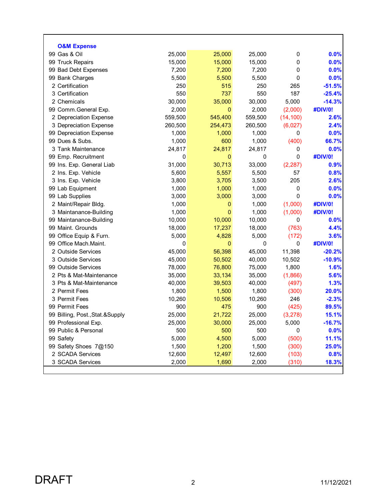| <b>O&amp;M Expense</b>           |         |                  |         |             |          |
|----------------------------------|---------|------------------|---------|-------------|----------|
| 99 Gas & Oil                     | 25,000  | 25,000           | 25,000  | 0           | 0.0%     |
| 99 Truck Repairs                 | 15,000  | 15,000           | 15,000  | 0           | 0.0%     |
| 99 Bad Debt Expenses             | 7,200   | 7,200            | 7,200   | 0           | 0.0%     |
| 99 Bank Charges                  | 5,500   | 5,500            | 5,500   | $\mathbf 0$ | 0.0%     |
| 2 Certification                  | 250     | 515              | 250     | 265         | $-51.5%$ |
| 3 Certification                  | 550     | 737              | 550     | 187         | $-25.4%$ |
| 2 Chemicals                      | 30,000  | 35,000           | 30,000  | 5,000       | $-14.3%$ |
| 99 Comm.General Exp.             | 2,000   | $\mathbf 0$      | 2,000   | (2,000)     | #DIV/0!  |
| 2 Depreciation Expense           | 559,500 | 545,400          | 559,500 | (14, 100)   | 2.6%     |
| 3 Depreciation Expense           | 260,500 | 254,473          | 260,500 | (6,027)     | 2.4%     |
| 99 Depreciation Expense          | 1,000   | 1,000            | 1,000   | 0           | 0.0%     |
| 99 Dues & Subs.                  | 1,000   | 600              | 1,000   | (400)       | 66.7%    |
| 3 Tank Maintenance               | 24,817  | 24,817           | 24,817  | 0           | 0.0%     |
| 99 Emp. Recruitment              | 0       | $\mathbf 0$      | 0       | $\mathbf 0$ | #DIV/0!  |
| 99 Ins. Exp. General Liab        | 31,000  | 30,713           | 33,000  | (2, 287)    | 0.9%     |
| 2 Ins. Exp. Vehicle              | 5,600   | 5,557            | 5,500   | 57          | 0.8%     |
| 3 Ins. Exp. Vehicle              | 3,800   | 3,705            | 3,500   | 205         | 2.6%     |
| 99 Lab Equipment                 | 1,000   | 1,000            | 1,000   | 0           | 0.0%     |
| 99 Lab Supplies                  | 3,000   | 3,000            | 3,000   | $\mathbf 0$ | 0.0%     |
| 2 Maint/Repair Bldg.             | 1,000   | $\boldsymbol{0}$ | 1,000   | (1,000)     | #DIV/0!  |
| 3 Maintanance-Building           | 1,000   | $\mathbf 0$      | 1,000   | (1,000)     | #DIV/0!  |
| 99 Maintanance-Building          | 10,000  | 10,000           | 10,000  | 0           | 0.0%     |
| 99 Maint. Grounds                | 18,000  | 17,237           | 18,000  | (763)       | 4.4%     |
| 99 Office Equip & Furn.          | 5,000   | 4,828            | 5,000   | (172)       | 3.6%     |
| 99 Office Mach.Maint.            | 0       | $\pmb{0}$        | 0       | 0           | #DIV/0!  |
| 2 Outside Services               | 45,000  | 56,398           | 45,000  | 11,398      | $-20.2%$ |
| 3 Outside Services               | 45,000  | 50,502           | 40,000  | 10,502      | $-10.9%$ |
| 99 Outside Services              | 78,000  | 76,800           | 75,000  | 1,800       | 1.6%     |
| 2 Pts & Mat-Maintenance          | 35,000  | 33,134           | 35,000  | (1,866)     | 5.6%     |
| 3 Pts & Mat-Maintenance          | 40,000  | 39,503           | 40,000  | (497)       | 1.3%     |
| 2 Permit Fees                    | 1,800   | 1,500            | 1,800   | (300)       | 20.0%    |
| 3 Permit Fees                    | 10,260  | 10,506           | 10,260  | 246         | $-2.3%$  |
| 99 Permit Fees                   | 900     | 475              | 900     | (425)       | 89.5%    |
| 99 Billing, Post., Stat.& Supply | 25,000  | 21,722           | 25,000  | (3,278)     | 15.1%    |
| 99 Professional Exp.             | 25,000  | 30,000           | 25,000  | 5,000       | $-16.7%$ |
| 99 Public & Personal             | 500     | 500              | 500     | 0           | 0.0%     |
| 99 Safety                        | 5,000   | 4,500            | 5,000   | (500)       | 11.1%    |
| 99 Safety Shoes 7@150            | 1,500   | 1,200            | 1,500   | (300)       | 25.0%    |
| 2 SCADA Services                 | 12,600  | 12,497           | 12,600  | (103)       | 0.8%     |
| 3 SCADA Services                 | 2,000   | 1,690            | 2,000   | (310)       | 18.3%    |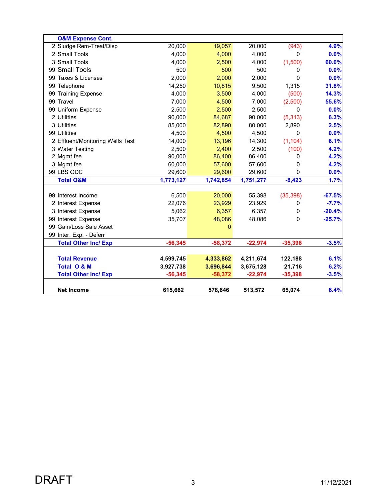| <b>O&amp;M Expense Cont.</b>     |           |           |           |           |          |
|----------------------------------|-----------|-----------|-----------|-----------|----------|
| 2 Sludge Rem-Treat/Disp          | 20,000    | 19,057    | 20,000    | (943)     | 4.9%     |
| 2 Small Tools                    | 4,000     | 4,000     | 4,000     | $\Omega$  | 0.0%     |
| 3 Small Tools                    | 4,000     | 2,500     | 4,000     | (1,500)   | 60.0%    |
| 99 Small Tools                   | 500       | 500       | 500       | 0         | 0.0%     |
| 99 Taxes & Licenses              | 2,000     | 2,000     | 2,000     | $\Omega$  | 0.0%     |
| 99 Telephone                     | 14,250    | 10,815    | 9,500     | 1,315     | 31.8%    |
| 99 Training Expense              | 4,000     | 3,500     | 4,000     | (500)     | 14.3%    |
| 99 Travel                        | 7,000     | 4,500     | 7,000     | (2,500)   | 55.6%    |
| 99 Uniform Expense               | 2,500     | 2,500     | 2,500     | 0         | 0.0%     |
| 2 Utilities                      | 90,000    | 84,687    | 90,000    | (5, 313)  | 6.3%     |
| 3 Utilities                      | 85,000    | 82,890    | 80,000    | 2,890     | 2.5%     |
| 99 Utilities                     | 4,500     | 4,500     | 4,500     | 0         | 0.0%     |
| 2 Effluent/Monitoring Wells Test | 14,000    | 13,196    | 14,300    | (1, 104)  | 6.1%     |
| 3 Water Testing                  | 2,500     | 2,400     | 2,500     | (100)     | 4.2%     |
| 2 Mgmt fee                       | 90,000    | 86,400    | 86,400    | 0         | 4.2%     |
| 3 Mgmt fee                       | 60,000    | 57,600    | 57,600    | 0         | 4.2%     |
| 99 LBS ODC                       | 29,600    | 29,600    | 29,600    | $\Omega$  | 0.0%     |
| <b>Total O&amp;M</b>             | 1,773,127 | 1,742,854 | 1,751,277 | $-8,423$  | 1.7%     |
|                                  |           |           |           |           |          |
| 99 Interest Income               | 6,500     | 20,000    | 55,398    | (35, 398) | $-67.5%$ |
| 2 Interest Expense               | 22,076    | 23,929    | 23,929    | 0         | $-7.7%$  |
| 3 Interest Expense               | 5,062     | 6,357     | 6,357     | 0         | $-20.4%$ |
| 99 Interest Expense              | 35,707    | 48,086    | 48,086    | 0         | $-25.7%$ |
| 99 Gain/Loss Sale Asset          |           | 0         |           |           |          |
| 99 Inter. Exp. - Deferr          |           |           |           |           |          |
| <b>Total Other Inc/ Exp</b>      | $-56,345$ | $-58,372$ | $-22,974$ | $-35,398$ | $-3.5%$  |
| <b>Total Revenue</b>             | 4,599,745 | 4,333,862 | 4,211,674 | 122,188   | 6.1%     |
| <b>Total O &amp; M</b>           | 3,927,738 | 3,696,844 | 3,675,128 | 21,716    | 6.2%     |
| <b>Total Other Inc/ Exp</b>      | $-56,345$ | $-58,372$ | $-22,974$ | $-35,398$ | $-3.5%$  |
|                                  |           |           |           |           |          |
| <b>Net Income</b>                | 615,662   | 578,646   | 513,572   | 65,074    | 6.4%     |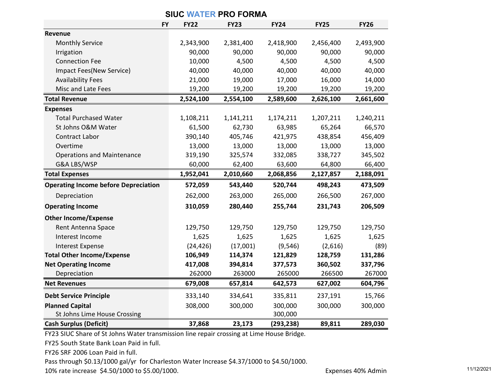| <b>SIUC WATER PRO FORMA</b>                 |             |             |             |             |             |  |
|---------------------------------------------|-------------|-------------|-------------|-------------|-------------|--|
| <b>FY</b>                                   | <b>FY22</b> | <b>FY23</b> | <b>FY24</b> | <b>FY25</b> | <b>FY26</b> |  |
| Revenue                                     |             |             |             |             |             |  |
| <b>Monthly Service</b>                      | 2,343,900   | 2,381,400   | 2,418,900   | 2,456,400   | 2,493,900   |  |
| Irrigation                                  | 90,000      | 90,000      | 90,000      | 90,000      | 90,000      |  |
| <b>Connection Fee</b>                       | 10,000      | 4,500       | 4,500       | 4,500       | 4,500       |  |
| Impact Fees(New Service)                    | 40,000      | 40,000      | 40,000      | 40,000      | 40,000      |  |
| <b>Availability Fees</b>                    | 21,000      | 19,000      | 17,000      | 16,000      | 14,000      |  |
| Misc and Late Fees                          | 19,200      | 19,200      | 19,200      | 19,200      | 19,200      |  |
| <b>Total Revenue</b>                        | 2,524,100   | 2,554,100   | 2,589,600   | 2,626,100   | 2,661,600   |  |
| <b>Expenses</b>                             |             |             |             |             |             |  |
| <b>Total Purchased Water</b>                | 1,108,211   | 1,141,211   | 1,174,211   | 1,207,211   | 1,240,211   |  |
| St Johns O&M Water                          | 61,500      | 62,730      | 63,985      | 65,264      | 66,570      |  |
| Contract Labor                              | 390,140     | 405,746     | 421,975     | 438,854     | 456,409     |  |
| Overtime                                    | 13,000      | 13,000      | 13,000      | 13,000      | 13,000      |  |
| <b>Operations and Maintenance</b>           | 319,190     | 325,574     | 332,085     | 338,727     | 345,502     |  |
| G&A LBS/WSP                                 | 60,000      | 62,400      | 63,600      | 64,800      | 66,400      |  |
| <b>Total Expenses</b>                       | 1,952,041   | 2,010,660   | 2,068,856   | 2,127,857   | 2,188,091   |  |
| <b>Operating Income before Depreciation</b> | 572,059     | 543,440     | 520,744     | 498,243     | 473,509     |  |
| Depreciation                                | 262,000     | 263,000     | 265,000     | 266,500     | 267,000     |  |
| <b>Operating Income</b>                     | 310,059     | 280,440     | 255,744     | 231,743     | 206,509     |  |
| <b>Other Income/Expense</b>                 |             |             |             |             |             |  |
| Rent Antenna Space                          | 129,750     | 129,750     | 129,750     | 129,750     | 129,750     |  |
| Interest Income                             | 1,625       | 1,625       | 1,625       | 1,625       | 1,625       |  |
| <b>Interest Expense</b>                     | (24, 426)   | (17,001)    | (9, 546)    | (2,616)     | (89)        |  |
| <b>Total Other Income/Expense</b>           | 106,949     | 114,374     | 121,829     | 128,759     | 131,286     |  |
| <b>Net Operating Income</b>                 | 417,008     | 394,814     | 377,573     | 360,502     | 337,796     |  |
| Depreciation                                | 262000      | 263000      | 265000      | 266500      | 267000      |  |
| <b>Net Revenues</b>                         | 679,008     | 657,814     | 642,573     | 627,002     | 604,796     |  |
| <b>Debt Service Principle</b>               | 333,140     | 334,641     | 335,811     | 237,191     | 15,766      |  |
| <b>Planned Capital</b>                      | 308,000     | 300,000     | 300,000     | 300,000     | 300,000     |  |
| St Johns Lime House Crossing                |             |             | 300,000     |             |             |  |
| <b>Cash Surplus (Deficit)</b>               | 37,868      | 23,173      | (293, 238)  | 89,811      | 289,030     |  |

FY23 SIUC Share of St Johns Water transmission line repair crossing at Lime House Bridge.

FY25 South State Bank Loan Paid in full.

FY26 SRF 2006 Loan Paid in full.

Pass through \$0.13/1000 gal/yr for Charleston Water Increase \$4.37/1000 to \$4.50/1000.

10% rate increase \$4.50/1000 to \$5.00/1000. The state of the state of the state increase \$4.50/1000 to \$5.00/1000.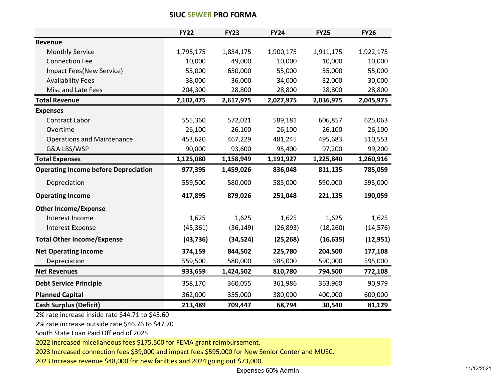|                                             | <b>FY22</b> | <b>FY23</b> | <b>FY24</b> | <b>FY25</b> | <b>FY26</b> |
|---------------------------------------------|-------------|-------------|-------------|-------------|-------------|
| Revenue                                     |             |             |             |             |             |
| <b>Monthly Service</b>                      | 1,795,175   | 1,854,175   | 1,900,175   | 1,911,175   | 1,922,175   |
| <b>Connection Fee</b>                       | 10,000      | 49,000      | 10,000      | 10,000      | 10,000      |
| Impact Fees(New Service)                    | 55,000      | 650,000     | 55,000      | 55,000      | 55,000      |
| <b>Availability Fees</b>                    | 38,000      | 36,000      | 34,000      | 32,000      | 30,000      |
| Misc and Late Fees                          | 204,300     | 28,800      | 28,800      | 28,800      | 28,800      |
| <b>Total Revenue</b>                        | 2,102,475   | 2,617,975   | 2,027,975   | 2,036,975   | 2,045,975   |
| <b>Expenses</b>                             |             |             |             |             |             |
| <b>Contract Labor</b>                       | 555,360     | 572,021     | 589,181     | 606,857     | 625,063     |
| Overtime                                    | 26,100      | 26,100      | 26,100      | 26,100      | 26,100      |
| <b>Operations and Maintenance</b>           | 453,620     | 467,229     | 481,245     | 495,683     | 510,553     |
| G&A LBS/WSP                                 | 90,000      | 93,600      | 95,400      | 97,200      | 99,200      |
| <b>Total Expenses</b>                       | 1,125,080   | 1,158,949   | 1,191,927   | 1,225,840   | 1,260,916   |
| <b>Operating Income before Depreciation</b> | 977,395     | 1,459,026   | 836,048     | 811,135     | 785,059     |
| Depreciation                                | 559,500     | 580,000     | 585,000     | 590,000     | 595,000     |
| <b>Operating Income</b>                     | 417,895     | 879,026     | 251,048     | 221,135     | 190,059     |
| <b>Other Income/Expense</b>                 |             |             |             |             |             |
| Interest Income                             | 1,625       | 1,625       | 1,625       | 1,625       | 1,625       |
| <b>Interest Expense</b>                     | (45, 361)   | (36, 149)   | (26, 893)   | (18, 260)   | (14, 576)   |
| <b>Total Other Income/Expense</b>           | (43, 736)   | (34, 524)   | (25, 268)   | (16, 635)   | (12, 951)   |
| <b>Net Operating Income</b>                 | 374,159     | 844,502     | 225,780     | 204,500     | 177,108     |
| Depreciation                                | 559,500     | 580,000     | 585,000     | 590,000     | 595,000     |
| <b>Net Revenues</b>                         | 933,659     | 1,424,502   | 810,780     | 794,500     | 772,108     |
| <b>Debt Service Principle</b>               | 358,170     | 360,055     | 361,986     | 363,960     | 90,979      |
| <b>Planned Capital</b>                      | 362,000     | 355,000     | 380,000     | 400,000     | 600,000     |
| <b>Cash Surplus (Deficit)</b>               | 213,489     | 709,447     | 68,794      | 30,540      | 81,129      |

#### **SIUC SEWER PRO FORMA**

2% rate increase inside rate \$44.71 to \$45.60

2% rate increase outside rate \$46.76 to \$47.70

South State Loan Paid Off end of 2025

2022 Increased micellaneous fees \$175,500 for FEMA grant reimbursement.

2023 Increased connection fees \$39,000 and impact fees \$595,000 for New Senior Center and MUSC.

2023 Increase revenue \$48,000 for new facilties and 2024 going out \$73,000.